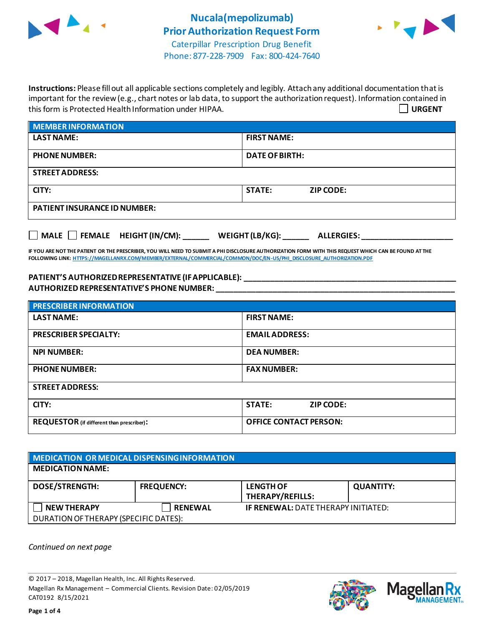



Phone: 877-228-7909 Fax: 800-424-7640

**Instructions:** Please fill out all applicable sections completely and legibly. Attach any additional documentation that is important for the review (e.g., chart notes or lab data, to support the authorization request). Information contained in this form is Protected Health Information under HIPAA. **URGENT**

| <b>MEMBER INFORMATION</b>           |                                   |  |
|-------------------------------------|-----------------------------------|--|
| <b>LAST NAME:</b>                   | <b>FIRST NAME:</b>                |  |
| <b>PHONE NUMBER:</b>                | <b>DATE OF BIRTH:</b>             |  |
| <b>STREET ADDRESS:</b>              |                                   |  |
| CITY:                               | <b>STATE:</b><br><b>ZIP CODE:</b> |  |
| <b>PATIENT INSURANCE ID NUMBER:</b> |                                   |  |
|                                     |                                   |  |

**IF YOU ARE NOT THE PATIENT OR THE PRESCRIBER, YOU WILL NEED TO SUBMIT A PHI DISCLOSURE AUTHORIZATION FORM WITH THIS REQUEST WHICH CAN BE FOUND AT THE FOLLOWING LINK[: HTTPS://MAGELLANRX.COM/MEMBER/EXTERNAL/COMMERCIAL/COMMON/DOC/EN-US/PHI\\_DISCLOSURE\\_AUTHORIZATION.PDF](https://magellanrx.com/member/external/commercial/common/doc/en-us/PHI_Disclosure_Authorization.pdf)**

□ MALE □ FEMALE HEIGHT (IN/CM): \_\_\_\_\_\_ WEIGHT (LB/KG): \_\_\_\_\_\_ ALLERGIES: \_\_\_\_\_\_\_\_\_

**PATIENT'S AUTHORIZED REPRESENTATIVE (IF APPLICABLE): \_\_\_\_\_\_\_\_\_\_\_\_\_\_\_\_\_\_\_\_\_\_\_\_\_\_\_\_\_\_\_\_\_\_\_\_\_\_\_\_\_\_\_\_\_\_\_\_\_ AUTHORIZED REPRESENTATIVE'S PHONE NUMBER: \_\_\_\_\_\_\_\_\_\_\_\_\_\_\_\_\_\_\_\_\_\_\_\_\_\_\_\_\_\_\_\_\_\_\_\_\_\_\_\_\_\_\_\_\_\_\_\_\_\_\_\_\_\_\_**

| <b>PRESCRIBER INFORMATION</b>             |                                   |  |
|-------------------------------------------|-----------------------------------|--|
| <b>LAST NAME:</b>                         | <b>FIRST NAME:</b>                |  |
| <b>PRESCRIBER SPECIALTY:</b>              | <b>EMAIL ADDRESS:</b>             |  |
| <b>NPI NUMBER:</b>                        | <b>DEA NUMBER:</b>                |  |
| <b>PHONE NUMBER:</b>                      | <b>FAX NUMBER:</b>                |  |
| <b>STREET ADDRESS:</b>                    |                                   |  |
| CITY:                                     | <b>STATE:</b><br><b>ZIP CODE:</b> |  |
| REQUESTOR (if different than prescriber): | <b>OFFICE CONTACT PERSON:</b>     |  |

| MEDICATION OR MEDICAL DISPENSING INFORMATION |                   |                                            |                  |  |  |
|----------------------------------------------|-------------------|--------------------------------------------|------------------|--|--|
| <b>MEDICATION NAME:</b>                      |                   |                                            |                  |  |  |
| <b>DOSE/STRENGTH:</b>                        | <b>FREQUENCY:</b> | <b>LENGTH OF</b>                           | <b>QUANTITY:</b> |  |  |
|                                              |                   | THERAPY/REFILLS:                           |                  |  |  |
| <b>NEW THERAPY</b>                           | <b>RENEWAL</b>    | <b>IF RENEWAL: DATE THERAPY INITIATED:</b> |                  |  |  |
| DURATION OF THERAPY (SPECIFIC DATES):        |                   |                                            |                  |  |  |

*Continued on next page*

© 2017 – 2018, Magellan Health, Inc. All Rights Reserved. Magellan Rx Management – Commercial Clients. Revision Date: 02/05/2019 CAT0192 8/15/2021



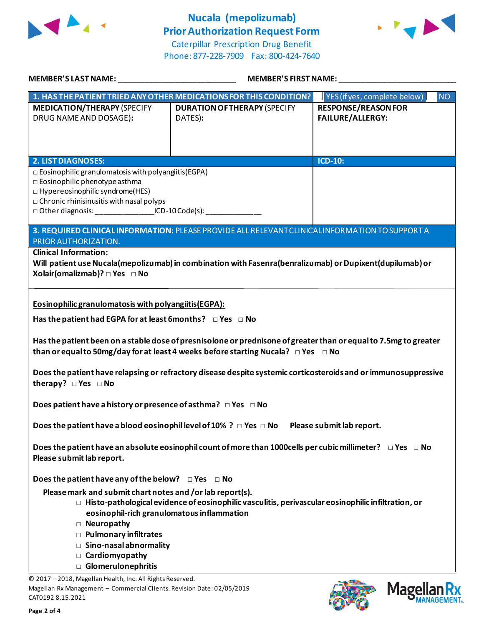

## **Nucala (mepolizumab) Prior Authorization Request Form**





| MEMBER'S LAST NAME: _____________________________                                                                                                                                                                                                                                 | MEMBER'S FIRST NAME:                                                                                                 |                                                               |  |  |
|-----------------------------------------------------------------------------------------------------------------------------------------------------------------------------------------------------------------------------------------------------------------------------------|----------------------------------------------------------------------------------------------------------------------|---------------------------------------------------------------|--|--|
| $\mid$ 1. HAS THE PATIENT TRIED ANY OTHER MEDICATIONS FOR THIS CONDITION?                                                                                                                                                                                                         |                                                                                                                      | $\blacksquare$ YES (if yes, complete below) $\blacksquare$ NO |  |  |
| <b>MEDICATION/THERAPY (SPECIFY</b><br>DRUG NAME AND DOSAGE):                                                                                                                                                                                                                      | <b>DURATION OF THERAPY (SPECIFY</b><br>DATES):                                                                       | <b>RESPONSE/REASON FOR</b><br><b>FAILURE/ALLERGY:</b>         |  |  |
| <b>2. LIST DIAGNOSES:</b>                                                                                                                                                                                                                                                         |                                                                                                                      | <b>ICD-10:</b>                                                |  |  |
| $\square$ Eosinophilic granulomatosis with polyangiitis (EGPA)<br>$\Box$ Eosinophilic phenotype asthma<br>□ Hypereosinophilic syndrome(HES)<br>$\Box$ Chronic rhinisinusitis with nasal polyps<br>□ Other diagnosis: ___________________ICD-10 Code(s): _________________________ |                                                                                                                      |                                                               |  |  |
| PRIOR AUTHORIZATION.                                                                                                                                                                                                                                                              | 3. REQUIRED CLINICAL INFORMATION: PLEASE PROVIDE ALL RELEVANT CLINICAL INFORMATION TO SUPPORT A                      |                                                               |  |  |
| <b>Clinical Information:</b><br>Xolair(omalizmab)? □ Yes □ No                                                                                                                                                                                                                     | Will patient use Nucala(mepolizumab) in combination with Fasenra(benralizumab) or Dupixent(dupilumab) or             |                                                               |  |  |
| Eosinophilic granulomatosis with polyangiitis (EGPA):<br>Has the patient had EGPA for at least 6months? DYes DNo<br>Has the patient been on a stable dose of presnisolone or prednisone of greater than or equal to 7.5mg to greater                                              |                                                                                                                      |                                                               |  |  |
|                                                                                                                                                                                                                                                                                   | than or equal to 50mg/day for at least 4 weeks before starting Nucala? $\Box$ Yes $\Box$ No                          |                                                               |  |  |
| Does the patient have relapsing or refractory disease despite systemic corticosteroids and or immunosuppressive<br>therapy? $\Box$ Yes $\Box$ No                                                                                                                                  |                                                                                                                      |                                                               |  |  |
| Does patient have a history or presence of asthma? $\Box$ Yes $\Box$ No                                                                                                                                                                                                           |                                                                                                                      |                                                               |  |  |
| Does the patient have a blood eosinophil level of 10% ? $\Box$ Yes $\Box$ No Please submit lab report.                                                                                                                                                                            |                                                                                                                      |                                                               |  |  |
| Please submit lab report.                                                                                                                                                                                                                                                         | Does the patient have an absolute eosinophil count of more than 1000cells per cubic millimeter? $\Box$ Yes $\Box$ No |                                                               |  |  |
| Does the patient have any of the below? $\Box$ Yes $\Box$ No                                                                                                                                                                                                                      |                                                                                                                      |                                                               |  |  |
| Please mark and submit chart notes and /or lab report(s).<br>eosinophil-rich granulomatous inflammation<br>□ Neuropathy<br>D Pulmonary infiltrates<br>Sino-nasal abnormality<br>Cardiomyopathy<br><b>Glomerulonephritis</b><br>$\Box$                                             | $\Box$ Histo-pathological evidence of eosinophilic vasculitis, perivascular eosinophilic infiltration, or            |                                                               |  |  |
| © 2017 - 2018, Magellan Health, Inc. All Rights Reserved.<br>Magellan Rx Management - Commercial Clients. Revision Date: 02/05/2019<br>CAT0192 8.15.2021                                                                                                                          |                                                                                                                      | <b>Mage</b>                                                   |  |  |

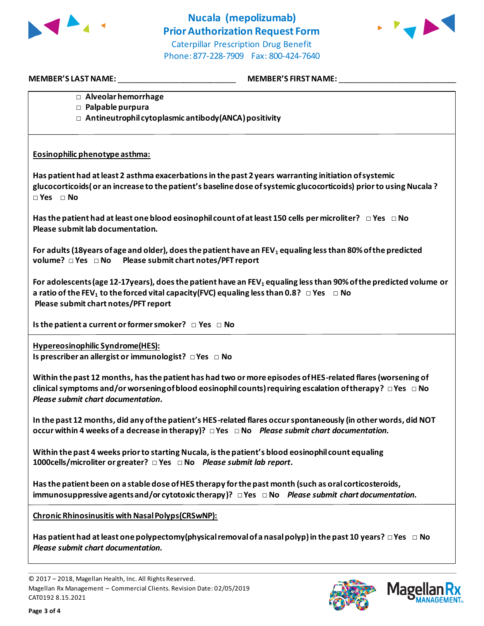



**MEMBER'S LAST NAME:** \_\_\_\_\_\_\_\_\_\_\_\_\_\_\_\_\_\_\_\_\_\_\_\_\_\_\_ **MEMBER'S FIRST NAME:** \_\_\_\_\_\_\_\_\_\_\_\_\_\_\_\_\_\_\_\_\_\_\_\_\_\_\_

- **□ Alveolar hemorrhage**
- **□ Palpable purpura**
- **□ Antineutrophil cytoplasmic antibody(ANCA) positivity**

## **Eosinophilic phenotype asthma:**

**Has patient had at least 2 asthma exacerbations in the past 2 years warranting initiation of systemic glucocorticoids( or an increase to the patient's baseline dose of systemic glucocorticoids) prior to using Nucala ? □ Yes □ No**

**Has the patient had at least one blood eosinophil count of at least 150 cells per microliter? □ Yes □ No Please submit lab documentation.**

**For adults(18years of age and older), does the patient have an FEV<sup>1</sup> equaling less than 80% of the predicted volume? □ Yes □ No Please submit chart notes/PFT report**

**For adolescents(age 12-17years), does the patient have an FEV<sup>1</sup> equaling less than 90% of the predicted volume or a ratio of the FEV<sup>1</sup> to the forced vital capacity(FVC) equaling less than 0.8? □ Yes □ No Please submit chart notes/PFT report**

**Is the patient a current or former smoker? □ Yes □ No** 

**Hypereosinophilic Syndrome(HES):**

**Is prescriber an allergist or immunologist? □ Yes □ No** 

**Within the past 12 months, has the patient has had two or more episodes of HES-related flares (worsening of clinical symptoms and/or worsening of blood eosinophil counts) requiring escalation of therapy? □ Yes □ No**  *Please submit chart documentation***.** 

**In the past 12 months, did any of the patient's HES-related flares occur spontaneously (in other words, did NOT occur within 4 weeks of a decrease in therapy)? □ Yes □ No** *Please submit chart documentation.*

**Within the past 4 weeks prior to starting Nucala, is the patient's blood eosinophil count equaling 1000cells/microliter or greater? □ Yes □ No** *Please submit lab report***.** 

**Has the patient been on a stable dose of HES therapy for the past month (such as oral corticosteroids, immunosuppressive agents and/or cytotoxic therapy)? □ Yes □ No** *Please submit chart documentation.*

**Chronic Rhinosinusitis with Nasal Polyps(CRSwNP):**

**Has patient had at least one polypectomy(physical removal of a nasal polyp) in the past 10 years? □Yes □ No**  *Please submit chart documentation.*